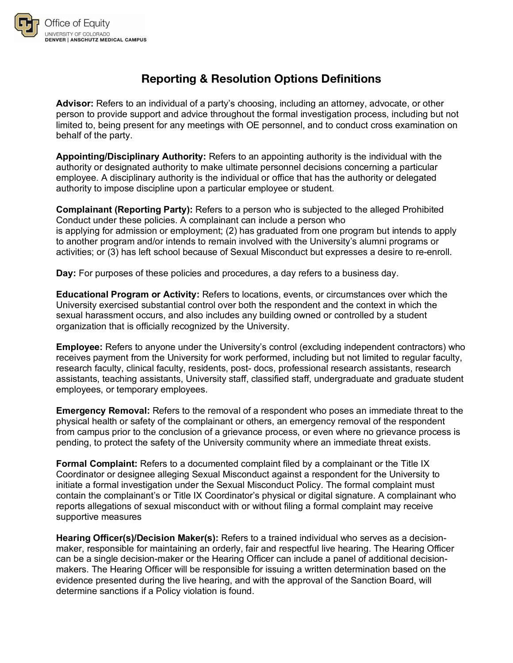

## **Reporting & Resolution Options Definitions**

**Advisor:** Refers to an individual of a party's choosing, including an attorney, advocate, or other person to provide support and advice throughout the formal investigation process, including but not limited to, being present for any meetings with OE personnel, and to conduct cross examination on behalf of the party.

**Appointing/Disciplinary Authority:** Refers to an appointing authority is the individual with the authority or designated authority to make ultimate personnel decisions concerning a particular employee. A disciplinary authority is the individual or office that has the authority or delegated authority to impose discipline upon a particular employee or student.

**Complainant (Reporting Party):** Refers to a person who is subjected to the alleged Prohibited Conduct under these policies. A complainant can include a person who is applying for admission or employment; (2) has graduated from one program but intends to apply to another program and/or intends to remain involved with the University's alumni programs or activities; or (3) has left school because of Sexual Misconduct but expresses a desire to re-enroll.

**Day:** For purposes of these policies and procedures, a day refers to a business day.

**Educational Program or Activity:** Refers to locations, events, or circumstances over which the University exercised substantial control over both the respondent and the context in which the sexual harassment occurs, and also includes any building owned or controlled by a student organization that is officially recognized by the University.

**Employee:** Refers to anyone under the University's control (excluding independent contractors) who receives payment from the University for work performed, including but not limited to regular faculty, research faculty, clinical faculty, residents, post- docs, professional research assistants, research assistants, teaching assistants, University staff, classified staff, undergraduate and graduate student employees, or temporary employees.

**Emergency Removal:** Refers to the removal of a respondent who poses an immediate threat to the physical health or safety of the complainant or others, an emergency removal of the respondent from campus prior to the conclusion of a grievance process, or even where no grievance process is pending, to protect the safety of the University community where an immediate threat exists.

**Formal Complaint:** Refers to a documented complaint filed by a complainant or the Title IX Coordinator or designee alleging Sexual Misconduct against a respondent for the University to initiate a formal investigation under the Sexual Misconduct Policy. The formal complaint must contain the complainant's or Title IX Coordinator's physical or digital signature. A complainant who reports allegations of sexual misconduct with or without filing a formal complaint may receive supportive measures

**Hearing Officer(s)/Decision Maker(s):** Refers to a trained individual who serves as a decisionmaker, responsible for maintaining an orderly, fair and respectful live hearing. The Hearing Officer can be a single decision-maker or the Hearing Officer can include a panel of additional decisionmakers. The Hearing Officer will be responsible for issuing a written determination based on the evidence presented during the live hearing, and with the approval of the Sanction Board, will determine sanctions if a Policy violation is found.